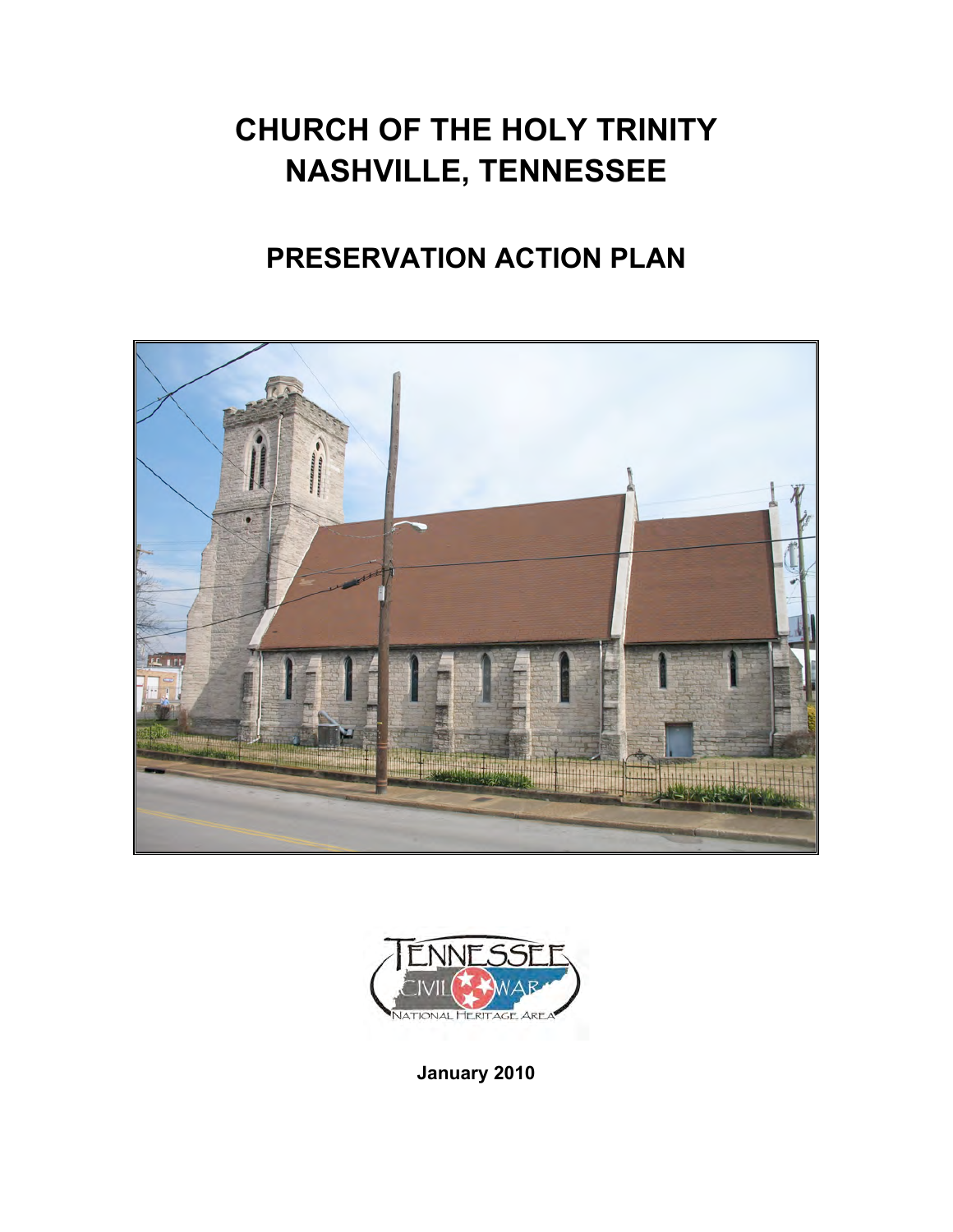# **CHURCH OF THE HOLY TRINITY NASHVILLE, TENNESSEE**

## **PRESERVATION ACTION PLAN**





**January 2010**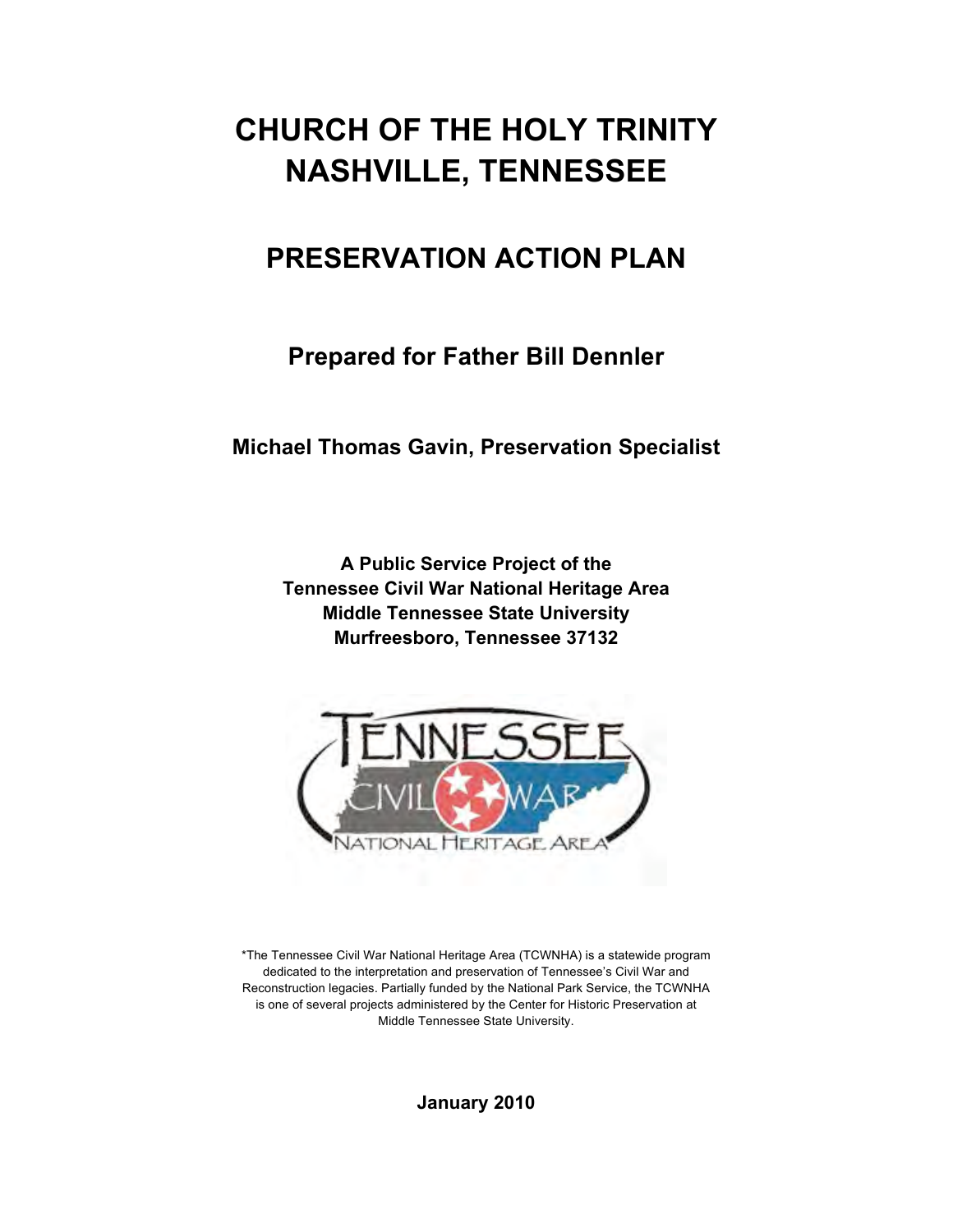## **CHURCH OF THE HOLY TRINITY NASHVILLE, TENNESSEE**

### **PRESERVATION ACTION PLAN**

**Prepared for Father Bill Dennler**

**Michael Thomas Gavin, Preservation Specialist**

**A Public Service Project of the Tennessee Civil War National Heritage Area Middle Tennessee State University Murfreesboro, Tennessee 37132**



\*The Tennessee Civil War National Heritage Area (TCWNHA) is a statewide program dedicated to the interpretation and preservation of Tennessee's Civil War and Reconstruction legacies. Partially funded by the National Park Service, the TCWNHA is one of several projects administered by the Center for Historic Preservation at Middle Tennessee State University.

**January 2010**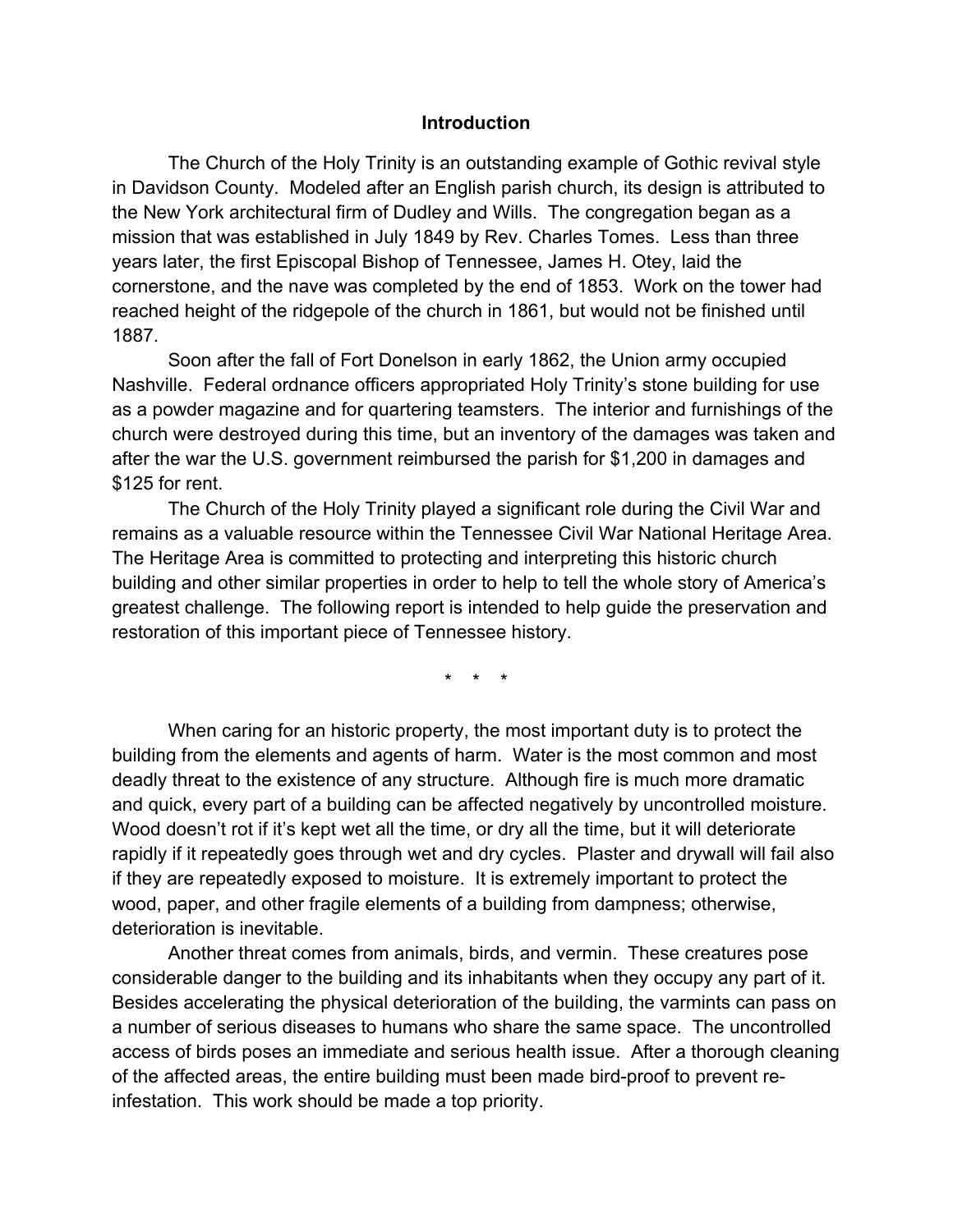#### **Introduction**

The Church of the Holy Trinity is an outstanding example of Gothic revival style in Davidson County. Modeled after an English parish church, its design is attributed to the New York architectural firm of Dudley and Wills. The congregation began as a mission that was established in July 1849 by Rev. Charles Tomes. Less than three years later, the first Episcopal Bishop of Tennessee, James H. Otey, laid the cornerstone, and the nave was completed by the end of 1853. Work on the tower had reached height of the ridgepole of the church in 1861, but would not be finished until 1887.

Soon after the fall of Fort Donelson in early 1862, the Union army occupied Nashville. Federal ordnance officers appropriated Holy Trinity's stone building for use as a powder magazine and for quartering teamsters. The interior and furnishings of the church were destroyed during this time, but an inventory of the damages was taken and after the war the U.S. government reimbursed the parish for \$1,200 in damages and \$125 for rent.

The Church of the Holy Trinity played a significant role during the Civil War and remains as a valuable resource within the Tennessee Civil War National Heritage Area. The Heritage Area is committed to protecting and interpreting this historic church building and other similar properties in order to help to tell the whole story of America's greatest challenge. The following report is intended to help guide the preservation and restoration of this important piece of Tennessee history.

\* \* \*

When caring for an historic property, the most important duty is to protect the building from the elements and agents of harm. Water is the most common and most deadly threat to the existence of any structure. Although fire is much more dramatic and quick, every part of a building can be affected negatively by uncontrolled moisture. Wood doesn't rot if it's kept wet all the time, or dry all the time, but it will deteriorate rapidly if it repeatedly goes through wet and dry cycles. Plaster and drywall will fail also if they are repeatedly exposed to moisture. It is extremely important to protect the wood, paper, and other fragile elements of a building from dampness; otherwise, deterioration is inevitable.

Another threat comes from animals, birds, and vermin. These creatures pose considerable danger to the building and its inhabitants when they occupy any part of it. Besides accelerating the physical deterioration of the building, the varmints can pass on a number of serious diseases to humans who share the same space. The uncontrolled access of birds poses an immediate and serious health issue. After a thorough cleaning of the affected areas, the entire building must been made bird-proof to prevent reinfestation. This work should be made a top priority.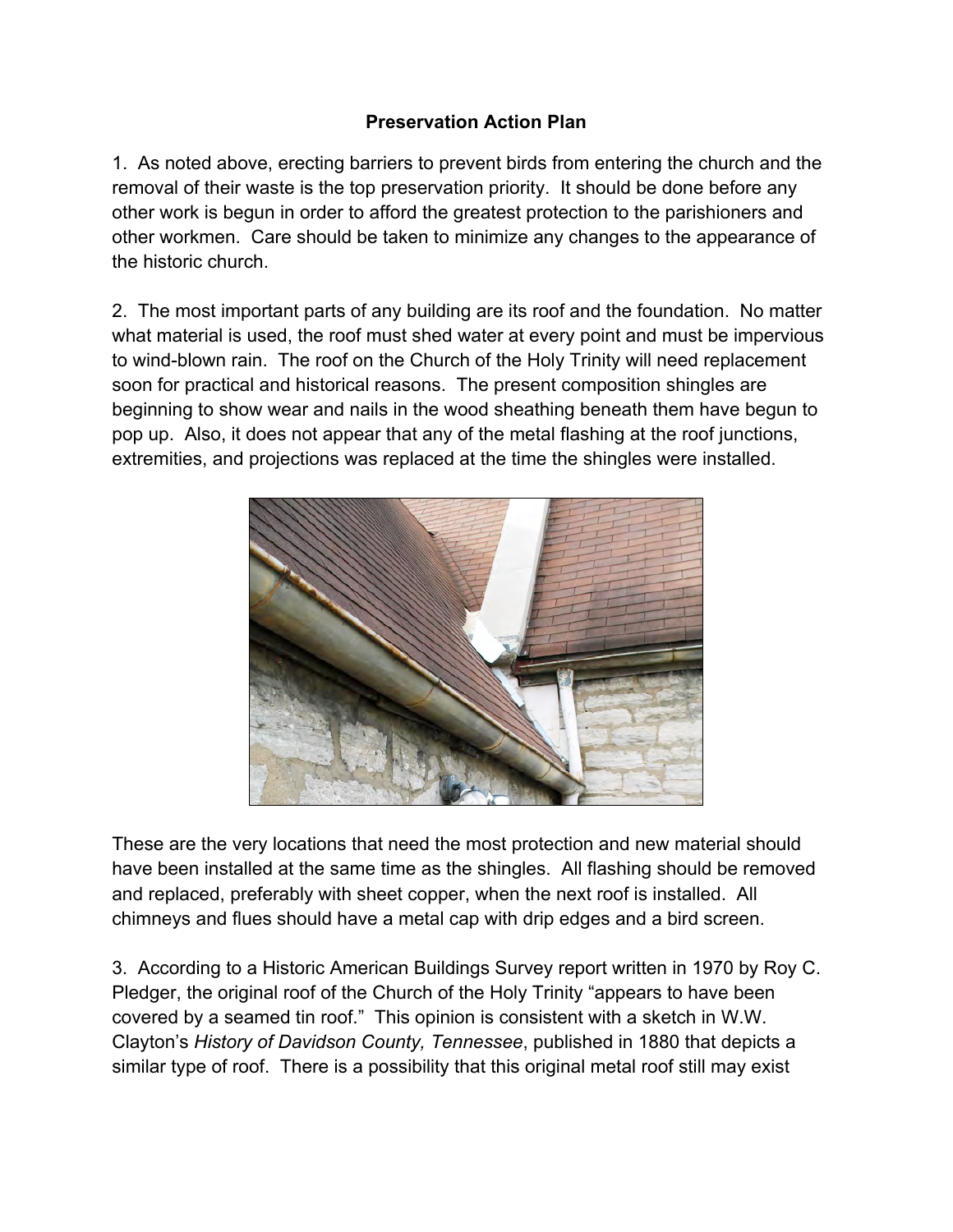#### **Preservation Action Plan**

1. As noted above, erecting barriers to prevent birds from entering the church and the removal of their waste is the top preservation priority. It should be done before any other work is begun in order to afford the greatest protection to the parishioners and other workmen. Care should be taken to minimize any changes to the appearance of the historic church.

2. The most important parts of any building are its roof and the foundation. No matter what material is used, the roof must shed water at every point and must be impervious to wind-blown rain. The roof on the Church of the Holy Trinity will need replacement soon for practical and historical reasons. The present composition shingles are beginning to show wear and nails in the wood sheathing beneath them have begun to pop up. Also, it does not appear that any of the metal flashing at the roof junctions, extremities, and projections was replaced at the time the shingles were installed.



These are the very locations that need the most protection and new material should have been installed at the same time as the shingles. All flashing should be removed and replaced, preferably with sheet copper, when the next roof is installed. All chimneys and flues should have a metal cap with drip edges and a bird screen.

3. According to a Historic American Buildings Survey report written in 1970 by Roy C. Pledger, the original roof of the Church of the Holy Trinity "appears to have been covered by a seamed tin roof." This opinion is consistent with a sketch in W.W. Clayton's *History of Davidson County, Tennessee*, published in 1880 that depicts a similar type of roof. There is a possibility that this original metal roof still may exist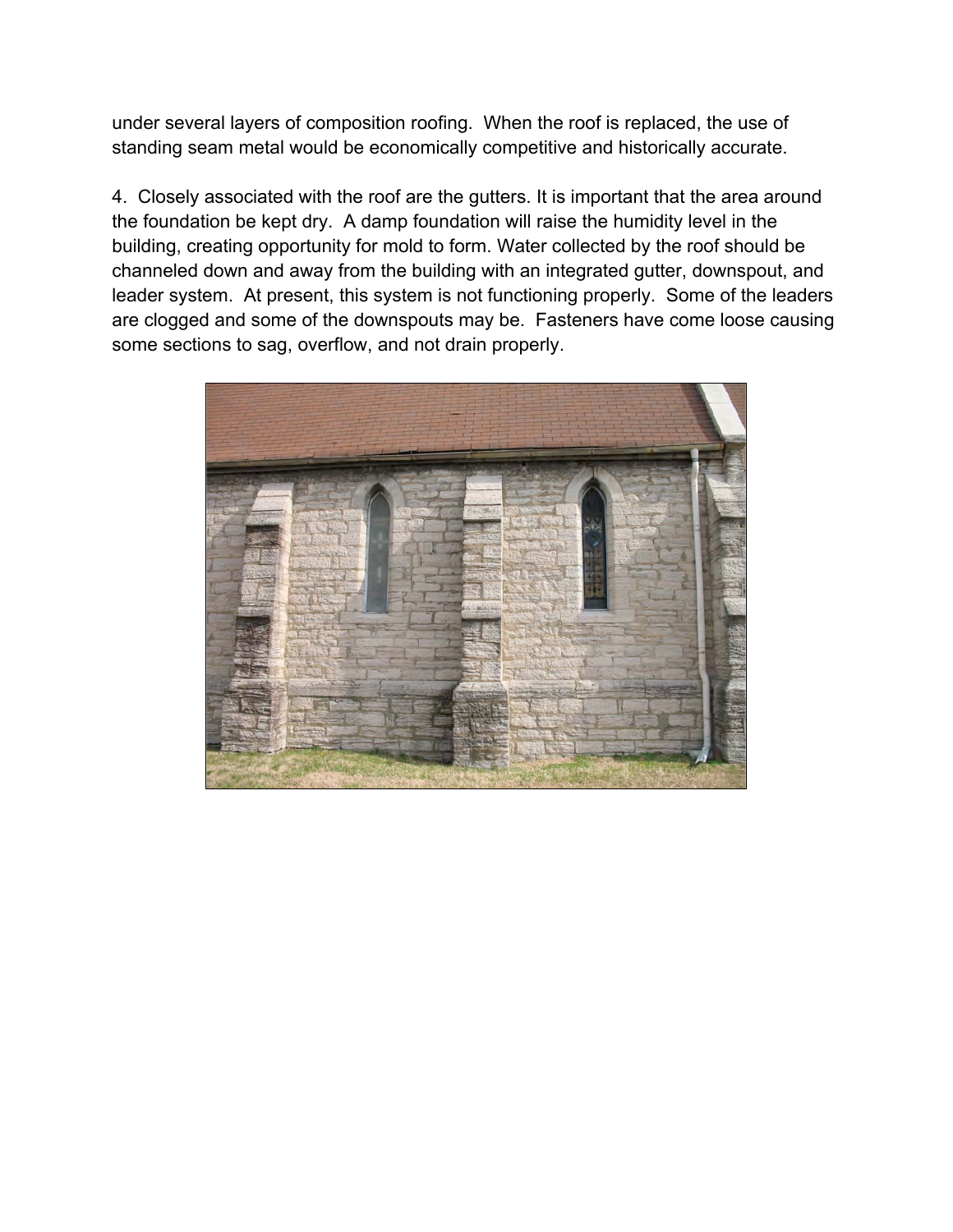under several layers of composition roofing. When the roof is replaced, the use of standing seam metal would be economically competitive and historically accurate.

4. Closely associated with the roof are the gutters. It is important that the area around the foundation be kept dry. A damp foundation will raise the humidity level in the building, creating opportunity for mold to form. Water collected by the roof should be channeled down and away from the building with an integrated gutter, downspout, and leader system. At present, this system is not functioning properly. Some of the leaders are clogged and some of the downspouts may be. Fasteners have come loose causing some sections to sag, overflow, and not drain properly.

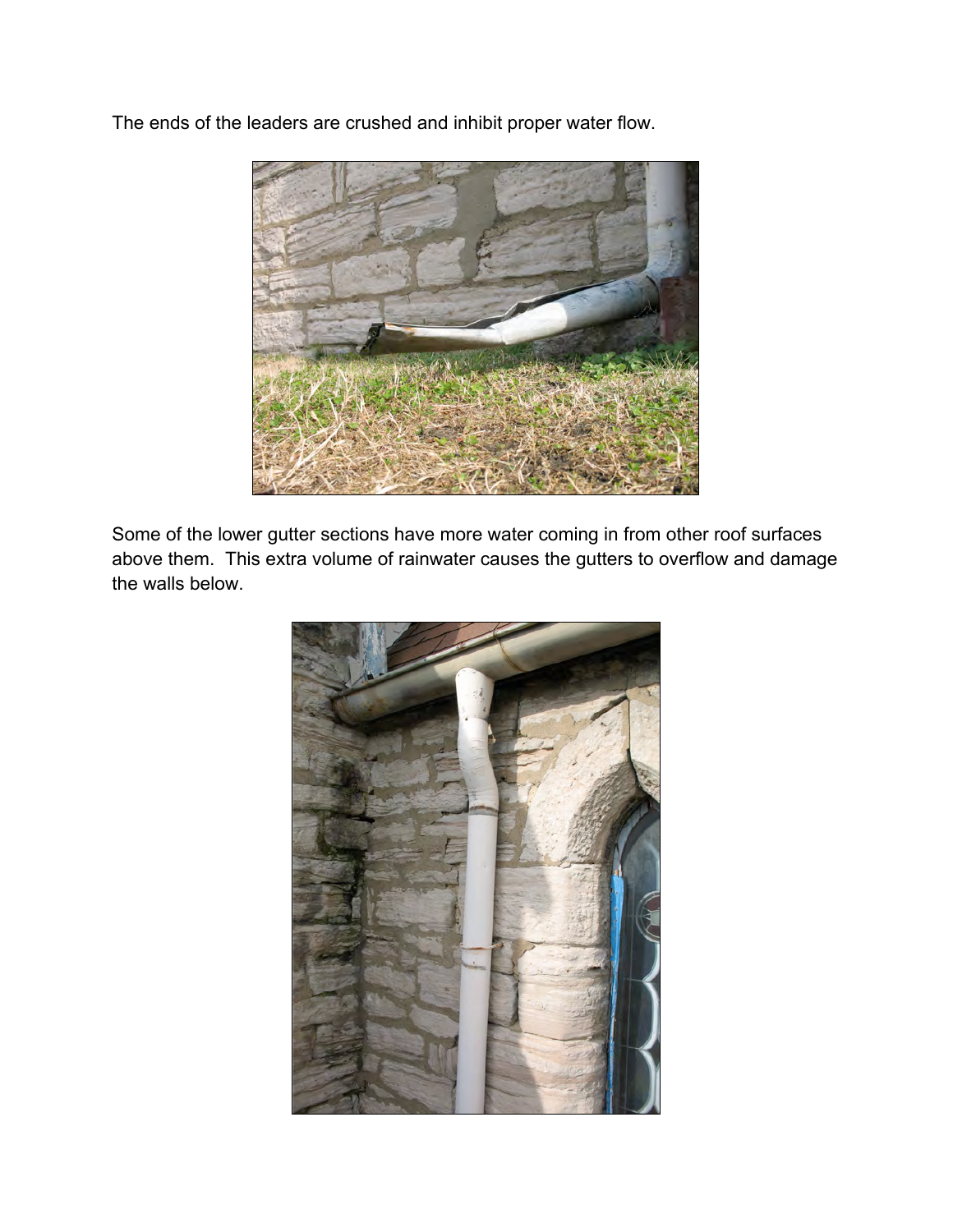The ends of the leaders are crushed and inhibit proper water flow.



Some of the lower gutter sections have more water coming in from other roof surfaces above them. This extra volume of rainwater causes the gutters to overflow and damage the walls below.

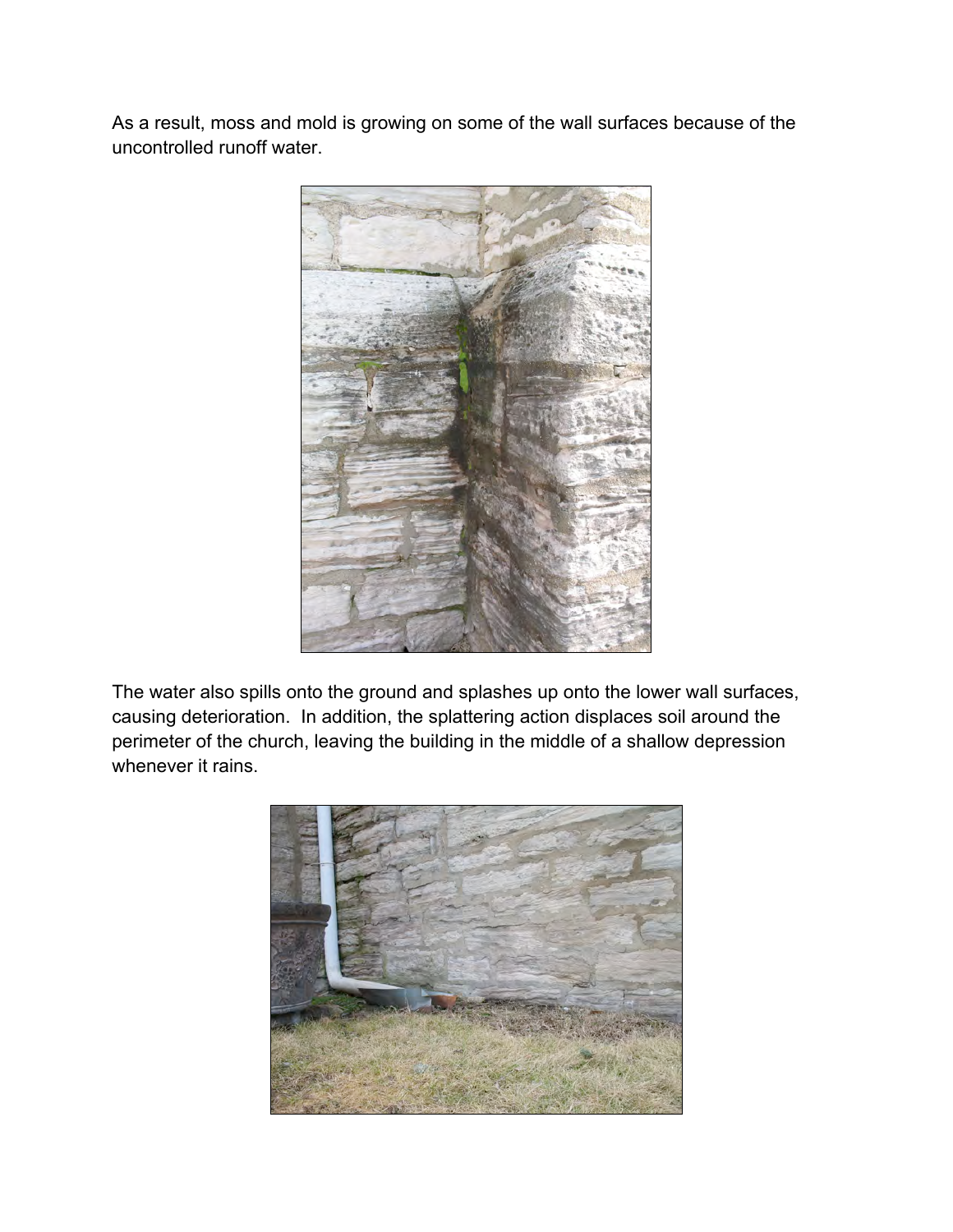As a result, moss and mold is growing on some of the wall surfaces because of the uncontrolled runoff water.



The water also spills onto the ground and splashes up onto the lower wall surfaces, causing deterioration. In addition, the splattering action displaces soil around the perimeter of the church, leaving the building in the middle of a shallow depression whenever it rains.